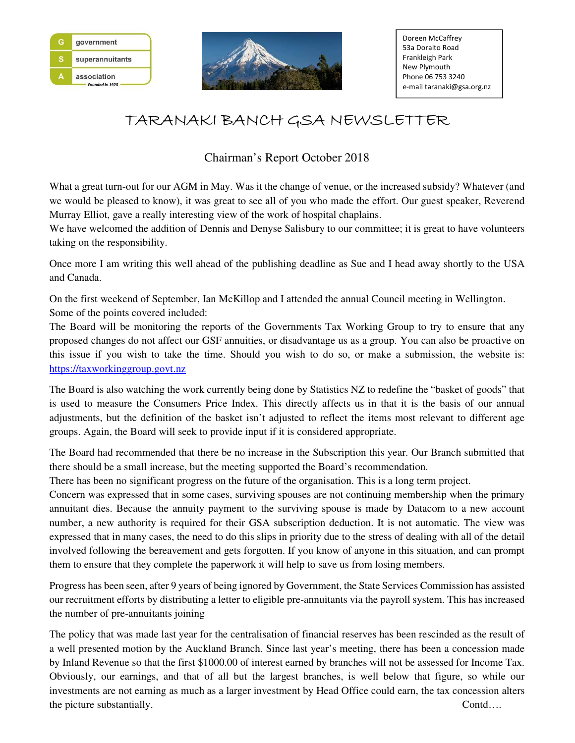



## TARANAKI BANCH GSA NEWSLETTER

## Chairman's Report October 2018

What a great turn-out for our AGM in May. Was it the change of venue, or the increased subsidy? Whatever (and we would be pleased to know), it was great to see all of you who made the effort. Our guest speaker, Reverend Murray Elliot, gave a really interesting view of the work of hospital chaplains.

We have welcomed the addition of Dennis and Denyse Salisbury to our committee; it is great to have volunteers taking on the responsibility.

Once more I am writing this well ahead of the publishing deadline as Sue and I head away shortly to the USA and Canada.

On the first weekend of September, Ian McKillop and I attended the annual Council meeting in Wellington. Some of the points covered included:

The Board will be monitoring the reports of the Governments Tax Working Group to try to ensure that any proposed changes do not affect our GSF annuities, or disadvantage us as a group. You can also be proactive on this issue if you wish to take the time. Should you wish to do so, or make a submission, the website is: https://taxworkinggroup.govt.nz

The Board is also watching the work currently being done by Statistics NZ to redefine the "basket of goods" that is used to measure the Consumers Price Index. This directly affects us in that it is the basis of our annual adjustments, but the definition of the basket isn't adjusted to reflect the items most relevant to different age groups. Again, the Board will seek to provide input if it is considered appropriate.

The Board had recommended that there be no increase in the Subscription this year. Our Branch submitted that there should be a small increase, but the meeting supported the Board's recommendation.

There has been no significant progress on the future of the organisation. This is a long term project.

Concern was expressed that in some cases, surviving spouses are not continuing membership when the primary annuitant dies. Because the annuity payment to the surviving spouse is made by Datacom to a new account number, a new authority is required for their GSA subscription deduction. It is not automatic. The view was expressed that in many cases, the need to do this slips in priority due to the stress of dealing with all of the detail involved following the bereavement and gets forgotten. If you know of anyone in this situation, and can prompt them to ensure that they complete the paperwork it will help to save us from losing members.

Progress has been seen, after 9 years of being ignored by Government, the State Services Commission has assisted our recruitment efforts by distributing a letter to eligible pre-annuitants via the payroll system. This has increased the number of pre-annuitants joining

The policy that was made last year for the centralisation of financial reserves has been rescinded as the result of a well presented motion by the Auckland Branch. Since last year's meeting, there has been a concession made by Inland Revenue so that the first \$1000.00 of interest earned by branches will not be assessed for Income Tax. Obviously, our earnings, and that of all but the largest branches, is well below that figure, so while our investments are not earning as much as a larger investment by Head Office could earn, the tax concession alters the picture substantially. Contd….